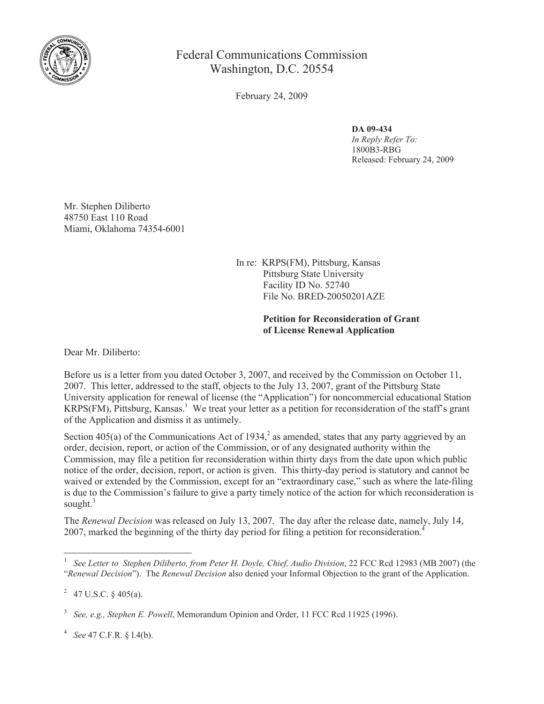

Federal Communications Commission Washington, D.C. 20554

February 24, 2009

## **DA 09-434**

*In Reply Refer To:*  1800B3-RBG Released: February 24, 2009

Mr. Stephen Diliberto 48750 East 110 Road Miami, Oklahoma 74354-6001

> In re: KRPS(FM), Pittsburg, Kansas Pittsburg State University Facility ID No. 52740 File No. BRED-20050201AZE

## **Petition for Reconsideration of Grant of License Renewal Application**

Dear Mr. Diliberto:

Before us is a letter from you dated October 3, 2007, and received by the Commission on October 11, 2007. This letter, addressed to the staff, objects to the July 13, 2007, grant of the Pittsburg State University application for renewal of license (the "Application") for noncommercial educational Station  $KRPS(FM)$ , Pittsburg, Kansas.<sup>1</sup> We treat your letter as a petition for reconsideration of the staff's grant of the Application and dismiss it as untimely.

Section 405(a) of the Communications Act of 1934,<sup>2</sup> as amended, states that any party aggrieved by an order, decision, report, or action of the Commission, or of any designated authority within the Commission, may file a petition for reconsideration within thirty days from the date upon which public notice of the order, decision, report, or action is given. This thirty-day period is statutory and cannot be waived or extended by the Commission, except for an "extraordinary case," such as where the late-filing is due to the Commission's failure to give a party timely notice of the action for which reconsideration is sought. $3$ 

The *Renewal Decision* was released on July 13, 2007. The day after the release date, namely, July 14, 2007, marked the beginning of the thirty day period for filing a petition for reconsideration.<sup>4</sup>

<sup>1</sup> *See Letter to Stephen Diliberto, from Peter H. Doyle, Chief, Audio Division*, 22 FCC Rcd 12983 (MB 2007) (the "*Renewal Decision*"). The *Renewal Decision* also denied your Informal Objection to the grant of the Application.

<sup>2</sup> 47 U.S.C. § 405(a).

<sup>3</sup> *See, e.g., Stephen E. Powell*, Memorandum Opinion and Order, 11 FCC Rcd 11925 (1996).

<sup>4</sup> *See* 47 C.F.R. § l.4(b).